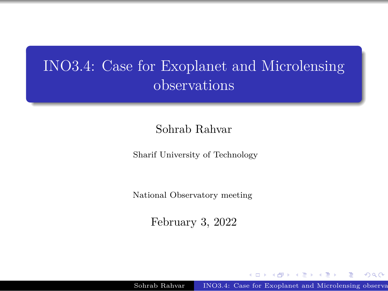### <span id="page-0-0"></span>INO3.4: Case for Exoplanet and Microlensing observations

Sohrab Rahvar

Sharif University of Technology

National Observatory meeting

February 3, 2022

Sohrab Rahvar INO3.4: [Case for Exoplanet and Microlensing observations](#page-23-0)

.

.  $\overline{\mathcal{L}}$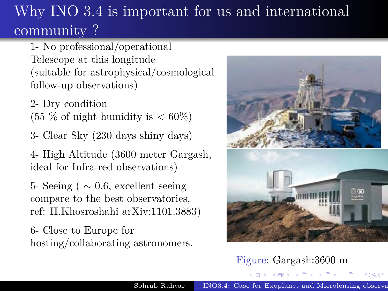## <span id="page-1-0"></span>Why INO  $3.\overline{4}$  is important for us and international community ?

1- No professional/operational Telescope at this longitude (suitable for astrophysical/cosmological follow-up observations)

2- Dry condition  $(55\% \text{ of night humidity is} < 60\%)$ 

3- Clear Sky (230 days shiny days)

4- High Altitude (3600 meter Gargash, ideal for Infra-red observations)

5- Seeing ( *∼* 0*.*6, excellent seeing compare to the best observatories, ref: H.Khosroshahi arXiv:1101.3883)

6- Close to Europe for hosting/collaborating astronomers.



#### Figure: Gargash:3600 m

. . [.](#page-2-0) . . [.](#page-0-0) [.](#page-1-0) . [.](#page-1-0) . . . [.](#page-2-0) [.](#page-0-0) [.](#page-0-0) . . [.](#page-23-0) [.](#page-23-0) . . . [.](#page-0-0) . [.](#page-0-0) . [.](#page-23-0) . [.](#page-23-0) [.](#page-0-0) [.](#page-23-0) . . . . . . . .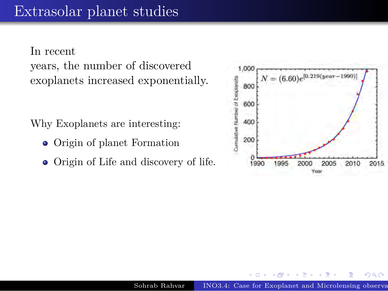### <span id="page-2-0"></span>Extrasolar planet studies

In recent years, the number of discovered exoplanets increased exponentially.

Why Exoplanets are interesting:

- Origin of planet Formation
- Origin of Life and discovery of life.



.

.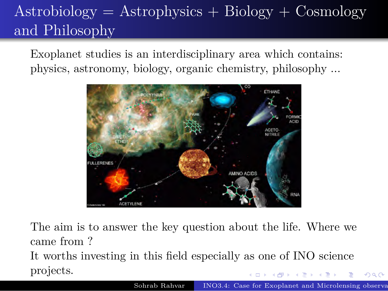## <span id="page-3-0"></span> $A<sup>strobiology</sup> = Astrophysics + Biology + Cosmology$ and Philosophy

Exoplanet studies is an interdisciplinary area which contains: physics, astronomy, biology, organic chemistry, philosophy ...



. . The aim is to answer the key question about the life. Where we came from ? It worths investing in this field especially as one of INO science projects.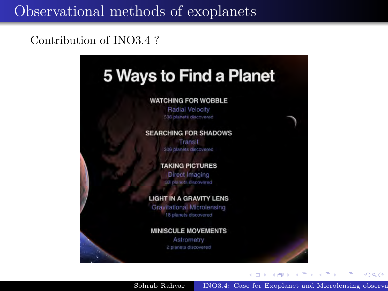### <span id="page-4-0"></span>Observational methods of exoplanets

#### Contribution of INO3.4 ?



. . Sohrab Rahvar INO3.4: [Case for Exoplanet and Microlensing observations](#page-0-0)

.

.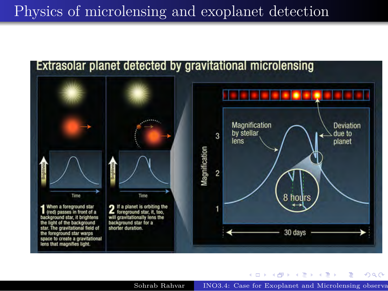### <span id="page-5-0"></span>Physics of microlensing and exoplanet detection



Sohrab Rahvar INO3.4: [Case for Exoplanet and Microlensing observations](#page-0-0)

 $\Box \rightarrow \neg \left( \frac{\partial}{\partial \theta} \right) \rightarrow \neg \left( \frac{\partial}{\partial \theta} \right) \rightarrow \neg \left( \frac{\partial}{\partial \theta} \right)$ 

.  $\overline{\mathcal{L}}$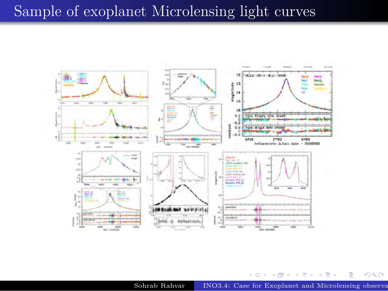#### <span id="page-6-0"></span>Sample of exoplanet Microlensing light curves



Sohrab Rahvar INO3.4: [Case for Exoplanet and Microlensing observations](#page-0-0)

 $\Box \rightarrow \neg \left( \frac{\partial}{\partial \theta} \right) \rightarrow \neg \left( \frac{\partial}{\partial \theta} \right) \rightarrow \neg \left( \frac{\partial}{\partial \theta} \right)$ 

. [.](#page-23-0) .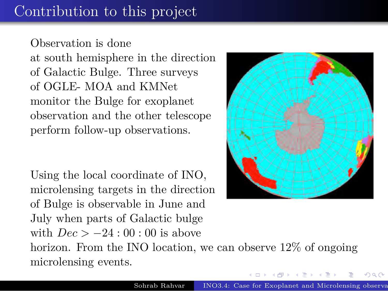### <span id="page-7-0"></span>Contribution to this project

Observation is done at south hemisphere in the direction of Galactic Bulge. Three surveys of OGLE- MOA and KMNet monitor the Bulge for exoplanet observation and the other telescope perform follow-up observations.

Using the local coordinate of INO, microlensing targets in the direction of Bulge is observable in June and July when parts of Galactic bulge with *Dec > −*24 : 00 : 00 is above horizon. From the INO location, we can observe 12\% of ongoing microlensing events.



.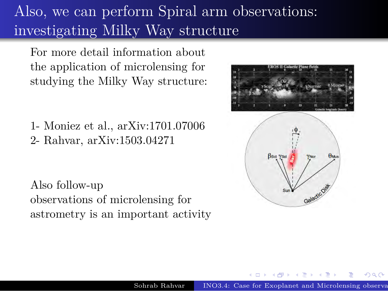## <span id="page-8-0"></span>Also, we can perform Spiral arm observations: investigating Milky Way structure

For more detail information about the application of microlensing for studying the Milky Way structure:

1- Moniez et al., arXiv:1701.07006 2- Rahvar, arXiv:1503.04271

Also follow-up observations of microlensing for astrometry is an important activity



.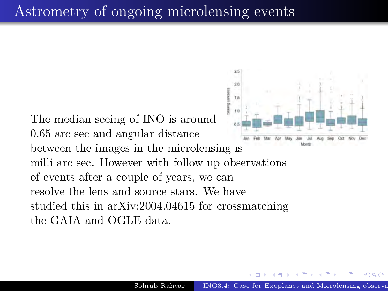### <span id="page-9-0"></span>Astrometry of ongoing microlensing events

The median seeing of INO is around 0*.*65 arc sec and angular distance between the images in the microlensing is milli arc sec. However with follow up observations of events after a couple of years, we can resolve the lens and source stars. We have studied this in arXiv:2004.04615 for crossmatching the GAIA and OGLE data.



.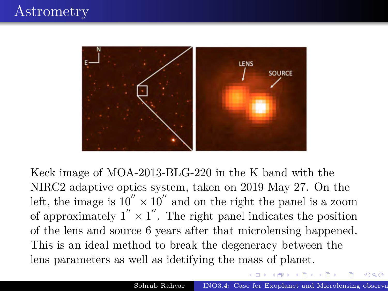### <span id="page-10-0"></span>**Astrometry**



Keck image of MOA-2013-BLG-220 in the K band with the NIRC2 adaptive optics system, taken on 2019 May 27. On the left, the image is  $10'' \times 10''$  and on the right the panel is a zoom of approximately  $1'' \times 1''$ . The right panel indicates the position of the lens and source 6 years after that microlensing happened. This is an ideal method to break the degeneracy between the lens parameters as well as idetifying the mass of planet.

.

 $\mathbb{E}\left[\mathcal{A} \right] \geq \mathbb{E}\left[\mathcal{A} \right] \geq \mathbb{E}\left[\mathcal{A} \right]$ 

.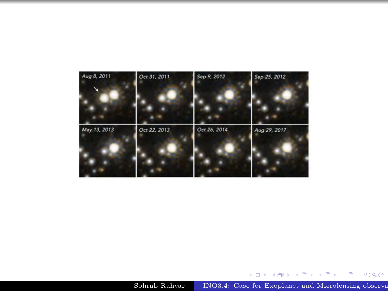<span id="page-11-0"></span>

[.](#page-10-0) . . [.](#page-12-0) . . [.](#page-10-0) [.](#page-11-0) . [.](#page-11-0) . . . [.](#page-12-0) [.](#page-0-0) [.](#page-0-0) . . [.](#page-23-0) [.](#page-23-0) . . . [.](#page-0-0) . [.](#page-0-0) . [.](#page-23-0) . [.](#page-23-0) [.](#page-0-0) [.](#page-23-0) . . . . . . . .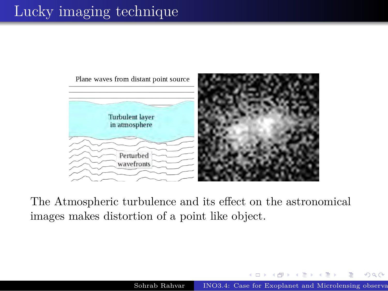### <span id="page-12-0"></span>Lucky imaging technique



The Atmospheric turbulence and its effect on the astronomical images makes distortion of a point like object.

 $\begin{aligned} \mathbf{A} \oplus \mathbf{B} \rightarrow \mathbf{A} \oplus \mathbf{B} \rightarrow \mathbf{A} \oplus \mathbf{B} \end{aligned}$ 

.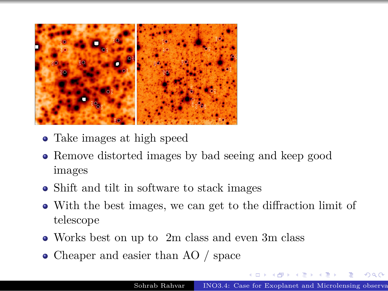<span id="page-13-0"></span>

- Take images at high speed
- Remove distorted images by bad seeing and keep good images
- Shift and tilt in software to stack images
- With the best images, we can get to the diffraction limit of telescope
- Works best on up to 2m class and even 3m class
- Cheaper and easier than AO / space

.

.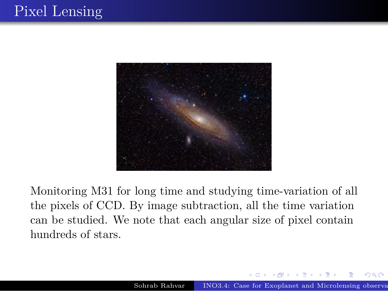<span id="page-14-0"></span>

Monitoring M31 for long time and studying time-variation of all the pixels of CCD. By image subtraction, all the time variation can be studied. We note that each angular size of pixel contain hundreds of stars.

.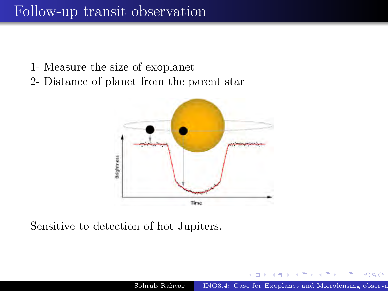### <span id="page-15-0"></span>Follow-up transit observation

- 1- Measure the size of exoplanet
- 2- Distance of planet from the parent star



Sensitive to detection of hot Jupiters.

.

.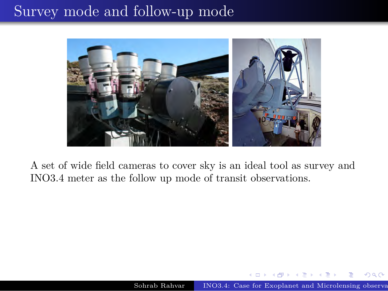### <span id="page-16-0"></span>Survey mode and follow-up mode



A set of wide field cameras to cover sky is an ideal tool as survey and INO3.4 meter as the follow up mode of transit observations.

.

.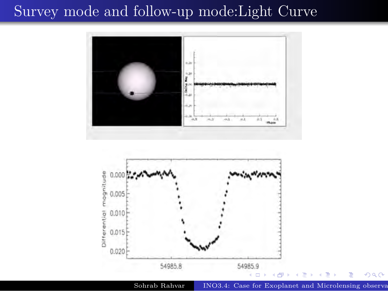#### <span id="page-17-0"></span>Survey mode and follow-up mode:Light Curve





Sohrab Rahvar INO3.4: [Case for Exoplanet and Microlensing observations](#page-0-0)

.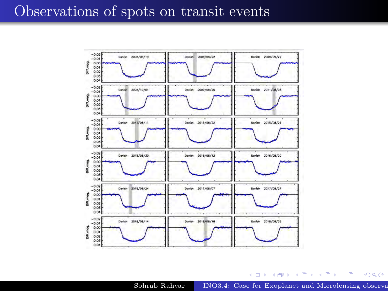#### <span id="page-18-0"></span>Observations of spots on transit events



Sohrab Rahvar INO3.4: [Case for Exoplanet and Microlensing observations](#page-0-0)

 $\Box \rightarrow \neg \left( \frac{\partial}{\partial \theta} \right) \rightarrow \neg \left( \frac{\partial}{\partial \theta} \right) \rightarrow \neg \left( \frac{\partial}{\partial \theta} \right)$ 

[.](#page-23-0) .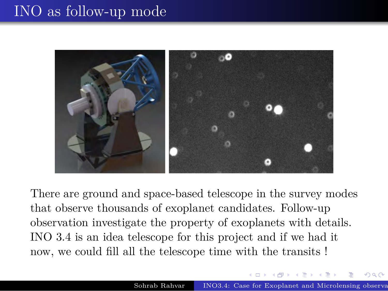### <span id="page-19-0"></span>INO as follow-up mode



There are ground and space-based telescope in the survey modes that observe thousands of exoplanet candidates. Follow-up observation investigate the property of exoplanets with details. INO 3.4 is an idea telescope for this project and if we had it now, we could fill all the telescope time with the transits !

.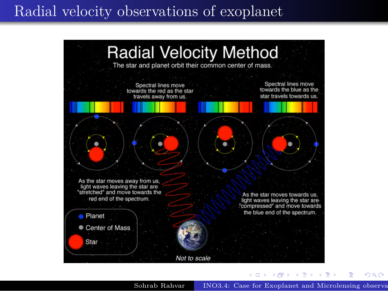#### <span id="page-20-0"></span>Radial velocity observations of exoplanet



Sohrab Rahvar INO3.4: [Case for Exoplanet and Microlensing observations](#page-0-0)

.

.  $\overline{\mathcal{L}}$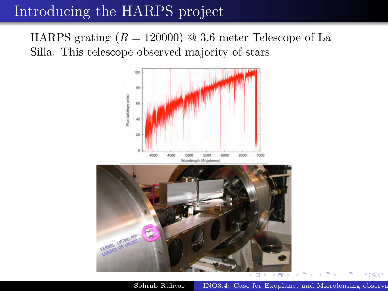### <span id="page-21-0"></span>Introducing the HARPS project

HARPS grating  $(R = 120000)$  @ 3.6 meter Telescope of La Silla. This telescope observed majority of stars



Sohrab Rahvar INO3.4: Case for Exoplanet and Microlensing observations

[.](#page-21-0)<br>. . . . . <u>. .</u> .

.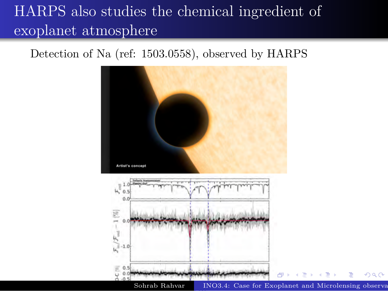## <span id="page-22-0"></span>HARPS also studies the chemical ingredient of exoplanet atmosphere

#### Detection of Na (ref: 1503.0558), observed by HARPS



.

 $Q$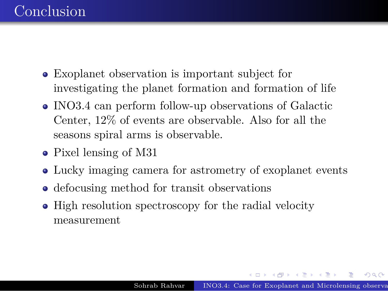- <span id="page-23-0"></span>Exoplanet observation is important subject for investigating the planet formation and formation of life
- INO3.4 can perform follow-up observations of Galactic Center, 12% of events are observable. Also for all the seasons spiral arms is observable.
- Pixel lensing of M31
- Lucky imaging camera for astrometry of exoplanet events
- defocusing method for transit observations
- High resolution spectroscopy for the radial velocity measurement

 $\mathcal{A} \xrightarrow{\text{d}} \mathcal{P} \rightarrow \mathcal{A} \xrightarrow{\text{d}} \mathcal{P} \rightarrow \mathcal{A} \xrightarrow{\text{d}} \mathcal{P}.$  $\mathcal{A} \xrightarrow{\text{d}} \mathcal{P} \rightarrow \mathcal{A} \xrightarrow{\text{d}} \mathcal{P} \rightarrow \mathcal{A} \xrightarrow{\text{d}} \mathcal{P}.$ 

.  $\overline{\mathcal{L}}$